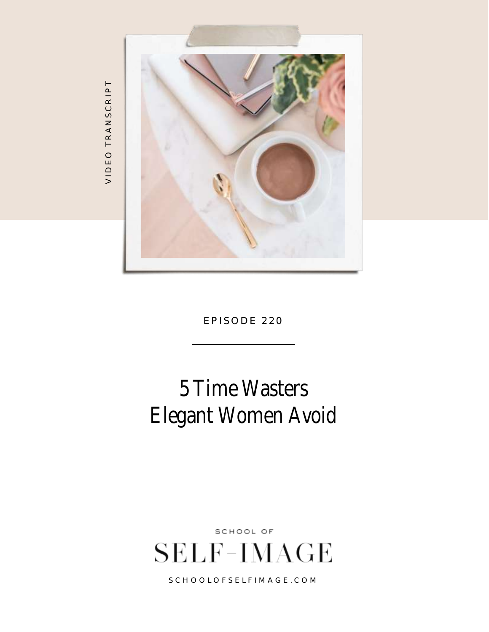

5 Time Wasters Elegant Women Avoid

SCHOOL OF **SELF-IMAGE** 

S C H O O L O F S E L F I M A G E . C O M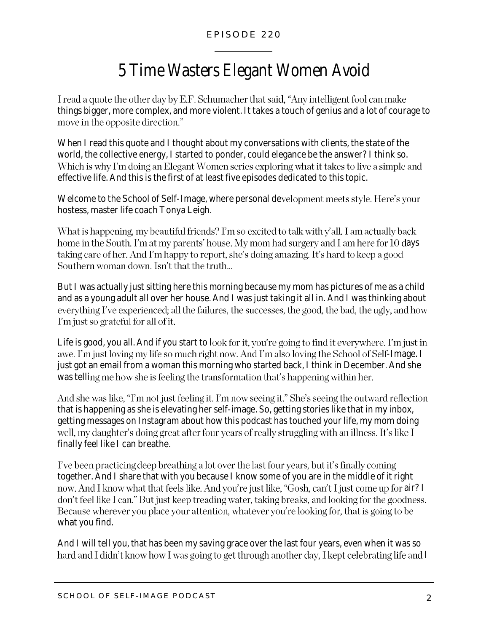## 5 Time Wasters Elegant Women Avoid

I read a quote the other day by E.F. Schumacher that said, "Any intelligent fool can make things bigger, more complex, and more violent. It takes a touch of genius and a lot of courage to move in the opposite direction."

When I read this quote and I thought about my conversations with clients, the state of the world, the collective energy, I started to ponder, could elegance be the answer? I think so. Which is why I'm doing an Elegant Women series exploring what it takes to live a simple and effective life. And this is the first of at least five episodes dedicated to this topic.

Welcome to the School of Self-Image, where personal development meets style. Here's your hostess, master life coach Tonya Leigh.

What is happening, my beautiful friends? I'm so excited to talk with y'all. I am actually back home in the South. I'm at my parents' house. My mom had surgery and I am here for 10 days taking care of her. And I'm happy to report, she's doing amazing. It's hard to keep a good Southern woman down. Isn't that the truth...

But I was actually just sitting here this morning because my mom has pictures of me as a child and as a young adult all over her house. And I was just taking it all in. And I was thinking about everything I've experienced; all the failures, the successes, the good, the bad, the ugly, and how I'm just so grateful for all of it.

Life is good, you all. And if you start to look for it, you're going to find it everywhere. I'm just in awe. I'm just loving my life so much right now. And I'm also loving the School of Self-Image. I just got an email from a woman this morning who started back, I think in December. And she was telling me how she is feeling the transformation that's happening within her.

And she was like, "I'm not just feeling it. I'm now seeing it." She's seeing the outward reflection that is happening as she is elevating her self-image. So, getting stories like that in my inbox, getting messages on Instagram about how this podcast has touched your life, my mom doing well, my daughter's doing great after four years of really struggling with an illness. It's like I finally feel like I can breathe.

I've been practicing deep breathing a lot over the last four years, but it's finally coming together. And I share that with you because I know some of you are in the middle of it right now. And I know what that feels like. And you're just like, "Gosh, can't I just come up for air? I don't feel like I can." But just keep treading water, taking breaks, and looking for the goodness. Because wherever you place your attention, whatever you're looking for, that is going to be what you find.

And I will tell you, that has been my saving grace over the last four years, even when it was so hard and I didn't know how I was going to get through another day, I kept celebrating life and I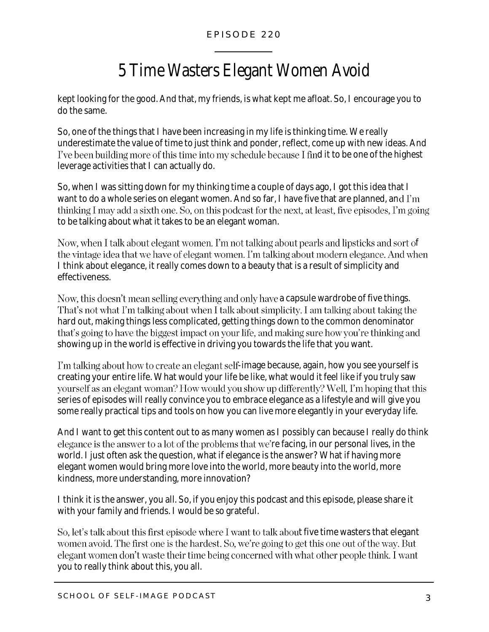# 5 Time Wasters Elegant Women Avoid

kept looking for the good. And that, my friends, is what kept me afloat. So, I encourage you to do the same.

So, one of the things that I have been increasing in my life is thinking time. We really underestimate the value of time to just think and ponder, reflect, come up with new ideas. And I've been building more of this time into my schedule because I find it to be one of the highest leverage activities that I can actually do.

So, when I was sitting down for my thinking time a couple of days ago, I got this idea that I want to do a whole series on elegant women. And so far, I have five that are planned, and I'm thinking I may add a sixth one. So, on this podcast for the next, at least, five episodes, I'm going to be talking about what it takes to be an elegant woman.

Now, when I talk about elegant women. I'm not talking about pearls and lipsticks and sort of the vintage idea that we have of elegant women. I'm talking about modern elegance. And when I think about elegance, it really comes down to a beauty that is a result of simplicity and effectiveness.

Now, this doesn't mean selling everything and only have a capsule wardrobe of five things. That's not what I'm talking about when I talk about simplicity. I am talking about taking the hard out, making things less complicated, getting things down to the common denominator that's going to have the biggest impact on your life, and making sure how you're thinking and showing up in the world is effective in driving you towards the life that you want.

I'm talking about how to create an elegant self-image because, again, how you see yourself is creating your entire life. What would your life be like, what would it feel like if you truly saw yourself as an elegant woman? How would you show up differently? Well, I'm hoping that this series of episodes will really convince you to embrace elegance as a lifestyle and will give you some really practical tips and tools on how you can live more elegantly in your everyday life.

And I want to get this content out to as many women as I possibly can because I really do think elegance is the answer to a lot of the problems that we're facing, in our personal lives, in the world. I just often ask the question, what if elegance is the answer? What if having more elegant women would bring more love into the world, more beauty into the world, more kindness, more understanding, more innovation?

I think it is the answer, you all. So, if you enjoy this podcast and this episode, please share it with your family and friends. I would be so grateful.

So, let's talk about this first episode where I want to talk about five time wasters that elegant women avoid. The first one is the hardest. So, we're going to get this one out of the way. But elegant women don't waste their time being concerned with what other people think. I want you to really think about this, you all.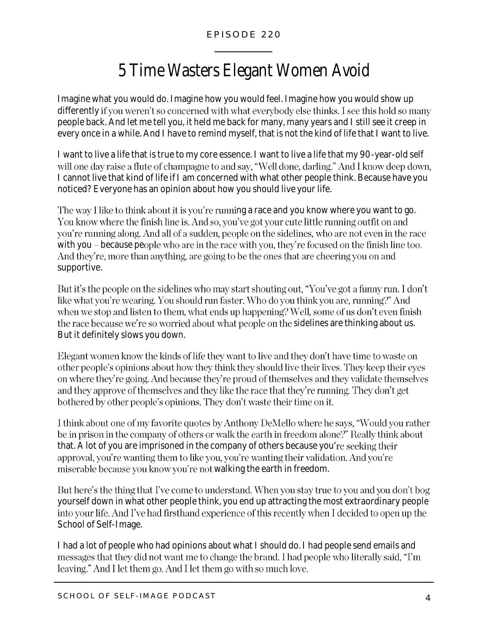# 5 Time Wasters Elegant Women Avoid

Imagine what you would do. Imagine how you would feel. Imagine how you would show up differently if you weren't so concerned with what everybody else thinks. I see this hold so many people back. And let me tell you, it held me back for many, many years and I still see it creep in every once in a while. And I have to remind myself, that is not the kind of life that I want to live.

I want to live a life that is true to my core essence. I want to live a life that my 90-year-old self will one day raise a flute of champagne to and say, "Well done, darling." And I know deep down, I cannot live that kind of life if I am concerned with what other people think. Because have you noticed? Everyone has an opinion about how you should live your life.

The way I like to think about it is you're running a race and you know where you want to go. You know where the finish line is. And so, you've got your cute little running outfit on and you're running along. And all of a sudden, people on the sidelines, who are not even in the race with you  $-$  because people who are in the race with you, they're focused on the finish line too. And they're, more than anything, are going to be the ones that are cheering you on and supportive.

But it's the people on the sidelines who may start shouting out, "You've got a funny run. I don't like what you're wearing. You should run faster. Who do you think you are, running?" And when we stop and listen to them, what ends up happening? Well, some of us don't even finish the race because we're so worried about what people on the sidelines are thinking about us. But it definitely slows you down.

Elegant women know the kinds of life they want to live and they don't have time to waste on other people's opinions about how they think they should live their lives. They keep their eyes on where they're going. And because they're proud of themselves and they validate themselves and they approve of themselves and they like the race that they're running. They don't get bothered by other people's opinions. They don't waste their time on it.

I think about one of my favorite quotes by Anthony DeMello where he says, "Would you rather be in prison in the company of others or walk the earth in freedom alone?" Really think about that. A lot of you are imprisoned in the company of others because you're seeking their approval, you're wanting them to like you, you're wanting their validation. And you're miserable because you know you're not walking the earth in freedom.

But here's the thing that I've come to understand. When you stay true to you and you don't bog yourself down in what other people think, you end up attracting the most extraordinary people into your life. And I've had firsthand experience of this recently when I decided to open up the School of Self-Image.

I had a lot of people who had opinions about what I should do. I had people send emails and messages that they did not want me to change the brand. I had people who literally said, "I'm leaving." And I let them go. And I let them go with so much love.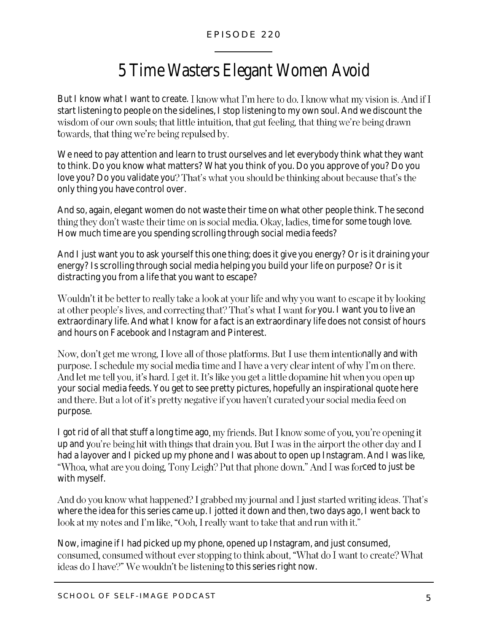# 5 Time Wasters Elegant Women Avoid

But I know what I want to create. I know what I'm here to do. I know what my vision is. And if I start listening to people on the sidelines, I stop listening to my own soul. And we discount the wisdom of our own souls; that little intuition, that gut feeling, that thing we're being drawn towards, that thing we're being repulsed by.

We need to pay attention and learn to trust ourselves and let everybody think what they want to think. Do you know what matters? What you think of you. Do you approve of you? Do you love you? Do you validate you? That's what you should be thinking about because that's the only thing you have control over.

And so, again, elegant women do not waste their time on what other people think. The second thing they don't waste their time on is social media. Okay, ladies, time for some tough love. How much time are you spending scrolling through social media feeds?

And I just want you to ask yourself this one thing; does it give you energy? Or is it draining your energy? Is scrolling through social media helping you build your life on purpose? Or is it distracting you from a life that you want to escape?

Wouldn't it be better to really take a look at your life and why you want to escape it by looking at other people's lives, and correcting that? That's what I want for you. I want you to live an extraordinary life. And what I know for a fact is an extraordinary life does not consist of hours and hours on Facebook and Instagram and Pinterest.

Now, don't get me wrong, I love all of those platforms. But I use them intentionally and with purpose. I schedule my social media time and I have a very clear intent of why I'm on there. And let me tell you, it's hard. I get it. It's like you get a little dopamine hit when you open up your social media feeds. You get to see pretty pictures, hopefully an inspirational quote here and there. But a lot of it's pretty negative if you haven't curated your social media feed on purpose.

I got rid of all that stuff a long time ago, my friends. But I know some of you, you're opening it up and you're being hit with things that drain you. But I was in the airport the other day and I had a layover and I picked up my phone and I was about to open up Instagram. And I was like, "Whoa, what are you doing, Tony Leigh? Put that phone down." And I was forced to just be with myself.

And do you know what happened? I grabbed my journal and I just started writing ideas. That's where the idea for this series came up. I jotted it down and then, two days ago, I went back to look at my notes and I'm like, "Ooh, I really want to take that and run with it."

Now, imagine if I had picked up my phone, opened up Instagram, and just consumed, consumed, consumed without ever stopping to think about, "What do I want to create? What ideas do I have?" We wouldn't be listening to this series right now.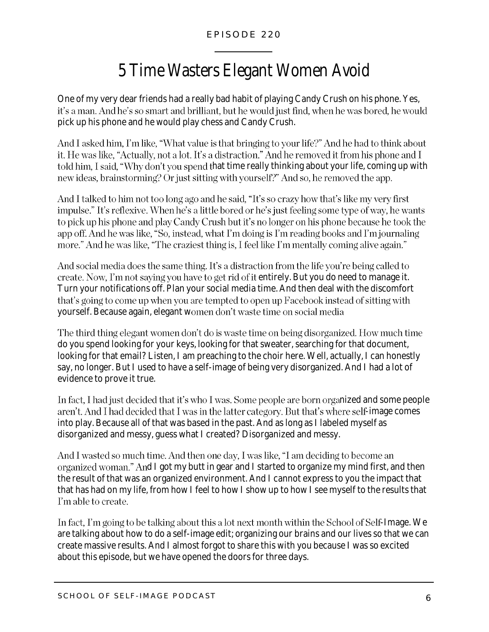## 5 Time Wasters Elegant Women Avoid

One of my very dear friends had a really bad habit of playing Candy Crush on his phone. Yes, it's a man. And he's so smart and brilliant, but he would just find, when he was bored, he would pick up his phone and he would play chess and Candy Crush.

And I asked him, I'm like, "What value is that bringing to your life?" And he had to think about it. He was like, "Actually, not a lot. It's a distraction." And he removed it from his phone and I told him, I said, "Why don't you spend that time really thinking about your life, coming up with new ideas, brainstorming? Or just sitting with yourself?" And so, he removed the app.

And I talked to him not too long ago and he said, "It's so crazy how that's like my very first impulse." It's reflexive. When he's a little bored or he's just feeling some type of way, he wants to pick up his phone and play Candy Crush but it's no longer on his phone because he took the app off. And he was like, "So, instead, what I'm doing is I'm reading books and I'm journaling more." And he was like, "The craziest thing is, I feel like I'm mentally coming alive again."

And social media does the same thing. It's a distraction from the life you're being called to entiate. Now, I'm not saying you have to get rid of it entirely. But you do need to manage it. Turn your notifications off. Plan your social media time. And then deal with the discomfort that's going to come up when you are tempted to open up Facebook instead of sitting with yourself. Because again, elegant women don't waste time on social media

The third thing elegant women don't do is waste time on being disorganized. How much time do you spend looking for your keys, looking for that sweater, searching for that document, looking for that email? Listen, I am preaching to the choir here. Well, actually, I can honestly say, no longer. But I used to have a self-image of being very disorganized. And I had a lot of evidence to prove it true.

In fact, I had just decided that it's who I was. Some people are born organized and some people aren't. And I had decided that I was in the latter category. But that's where self-image comes into play. Because all of that was based in the past. And as long as I labeled myself as disorganized and messy, guess what I created? Disorganized and messy.

And I wasted so much time. And then one day, I was like, "I am deciding to become an organized woman." And I got my butt in gear and I started to organize my mind first, and then the result of that was an organized environment. And I cannot express to you the impact that that has had on my life, from how I feel to how I show up to how I see myself to the results that I'm able to create.

In fact, I'm going to be talking about this a lot next month within the School of Self-Image. We are talking about how to do a self-image edit; organizing our brains and our lives so that we can create massive results. And I almost forgot to share this with you because I was so excited about this episode, but we have opened the doors for three days.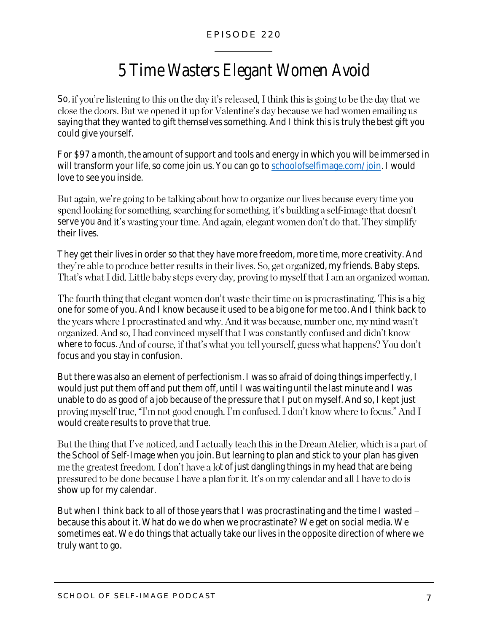## 5 Time Wasters Elegant Women Avoid

So, if you're listening to this on the day it's released. I think this is going to be the day that we close the doors. But we opened it up for Valentine's day because we had women emailing us saying that they wanted to gift themselves something. And I think this is truly the best gift you could give yourself.

For \$97 a month, the amount of support and tools and energy in which you will be immersed in will transform your life, so come join us. You can go t[o schoolofselfimage.com/join.](http://www.schoolofselfimage.com/join) I would love to see you inside.

But again, we're going to be talking about how to organize our lives because every time you spend looking for something, searching for something, it's building a self-image that doesn't serve you and it's wasting your time. And again, elegant women don't do that. They simplify their lives.

They get their lives in order so that they have more freedom, more time, more creativity. And they're able to produce better results in their lives. So, get organized, my friends. Baby steps. That's what I did. Little baby steps every day, proving to myself that I am an organized woman.

The fourth thing that elegant women don't waste their time on is procrastinating. This is a big one for some of you. And I know because it used to be a big one for me too. And I think back to the years where I procrastinated and why. And it was because, number one, my mind wasn't organized. And so, I had convinced myself that I was constantly confused and didn't know where to focus. And of course, if that's what you tell yourself, guess what happens? You don't focus and you stay in confusion.

But there was also an element of perfectionism. I was so afraid of doing things imperfectly, I would just put them off and put them off, until I was waiting until the last minute and I was unable to do as good of a job because of the pressure that I put on myself. And so, I kept just proving myself true, "I'm not good enough. I'm confused. I don't know where to focus." And I would create results to prove that true.

But the thing that I've noticed, and I actually teach this in the Dream Atelier, which is a part of the School of Self-Image when you join. But learning to plan and stick to your plan has given me the greatest freedom. I don't have a lot of just dangling things in my head that are being pressured to be done because I have a plan for it. It's on my calendar and all I have to do is show up for my calendar.

But when I think back to all of those years that I was procrastinating and the time I wasted – because this about it. What do we do when we procrastinate? We get on social media. We sometimes eat. We do things that actually take our lives in the opposite direction of where we truly want to go.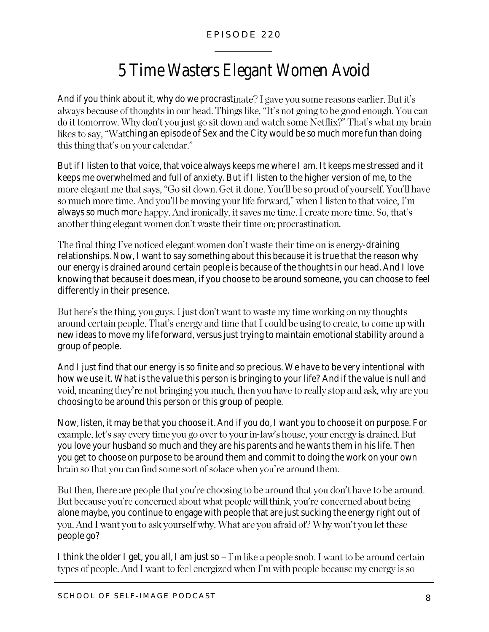## 5 Time Wasters Elegant Women Avoid

And if you think about it, why do we procrastinate? I gave you some reasons earlier. But it's always because of thoughts in our head. Things like, "It's not going to be good enough. You can do it tomorrow. Why don't you just go sit down and watch some Netflix?" That's what my brain likes to say, "Watching an episode of Sex and the City would be so much more fun than doing this thing that's on your calendar."

But if I listen to that voice, that voice always keeps me where I am. It keeps me stressed and it keeps me overwhelmed and full of anxiety. But if I listen to the higher version of me, to the more elegant me that says, "Go sit down. Get it done. You'll be so proud of yourself. You'll have so much more time. And you'll be moving your life forward," when I listen to that voice, I'm always so much more happy. And ironically, it saves me time. I create more time. So, that's another thing elegant women don't waste their time on; procrastination.

The final thing I've noticed elegant women don't waste their time on is energy-draining relationships. Now, I want to say something about this because it is true that the reason why our energy is drained around certain people is because of the thoughts in our head. And I love knowing that because it does mean, if you choose to be around someone, you can choose to feel differently in their presence.

But here's the thing, you guys. I just don't want to waste my time working on my thoughts around certain people. That's energy and time that I could be using to create, to come up with new ideas to move my life forward, versus just trying to maintain emotional stability around a group of people.

And I just find that our energy is so finite and so precious. We have to be very intentional with how we use it. What is the value this person is bringing to your life? And if the value is null and void, meaning they're not bringing you much, then you have to really stop and ask, why are you choosing to be around this person or this group of people.

Now, listen, it may be that you choose it. And if you do, I want you to choose it on purpose. For example, let's say every time you go over to your in-law's house, your energy is drained. But you love your husband so much and they are his parents and he wants them in his life. Then you get to choose on purpose to be around them and commit to doing the work on your own brain so that you can find some sort of solace when you're around them.

But then, there are people that you're choosing to be around that you don't have to be around. But because you're concerned about what people will think, you're concerned about being alone maybe, you continue to engage with people that are just sucking the energy right out of you. And I want you to ask yourself why. What are you afraid of? Why won't you let these people go?

I think the older I get, you all, I am just so  $-1$ 'm like a people snob. I want to be around certain types of people. And I want to feel energized when I'm with people because my energy is so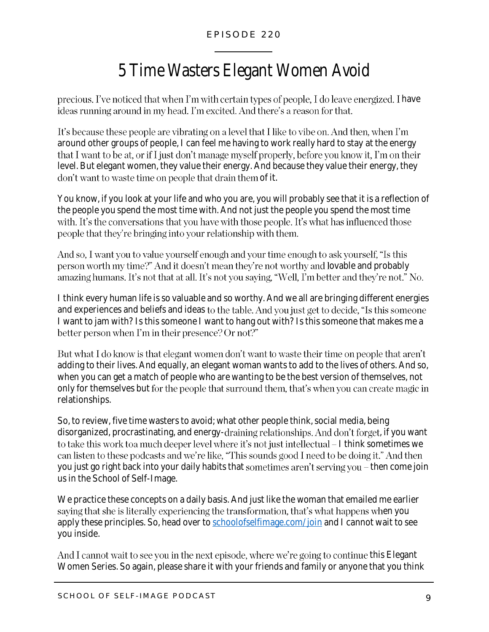# 5 Time Wasters Elegant Women Avoid

precious. I've noticed that when I'm with certain types of people, I do leave energized. I have ideas running around in my head. I'm excited. And there's a reason for that.

It's because these people are vibrating on a level that I like to vibe on. And then, when I'm around other groups of people, I can feel me having to work really hard to stay at the energy that I want to be at, or if I just don't manage myself properly, before you know it, I'm on their level. But elegant women, they value their energy. And because they value their energy, they don't want to waste time on people that drain them of it.

You know, if you look at your life and who you are, you will probably see that it is a reflection of the people you spend the most time with. And not just the people you spend the most time with. It's the conversations that you have with those people. It's what has influenced those people that they're bringing into your relationship with them.

And so, I want you to value yourself enough and your time enough to ask yourself, "Is this person worth my time?" And it doesn't mean they're not worthy and lovable and probably amazing humans. It's not that at all. It's not you saying, "Well, I'm better and they're not." No.

I think every human life is so valuable and so worthy. And we all are bringing different energies and experiences and beliefs and ideas to the table. And you just get to decide, "Is this someone I want to jam with? Is this someone I want to hang out with? Is this someone that makes me a better person when I'm in their presence? Or not?"

But what I do know is that elegant women don't want to waste their time on people that aren't adding to their lives. And equally, an elegant woman wants to add to the lives of others. And so, when you can get a match of people who are wanting to be the best version of themselves, not only for themselves but for the people that surround them, that's when you can create magic in relationships.

So, to review, five time wasters to avoid; what other people think, social media, being disorganized, procrastinating, and energy-draining relationships. And don't forget, if you want to take this work to a much deeper level where it's not just intellectual  $-1$  think sometimes we can listen to these podcasts and we're like, "This sounds good I need to be doing it." And then you just go right back into your daily habits that sometimes aren't serving you  $-$  then come join us in the School of Self-Image.

We practice these concepts on a daily basis. And just like the woman that emailed me earlier saying that she is literally experiencing the transformation, that's what happens when you apply these principles. So, head over to [schoolofselfimage.com/join](http://www.schoolofselfimage.com/join) and I cannot wait to see you inside.

And I cannot wait to see you in the next episode, where we're going to continue this Elegant Women Series. So again, please share it with your friends and family or anyone that you think